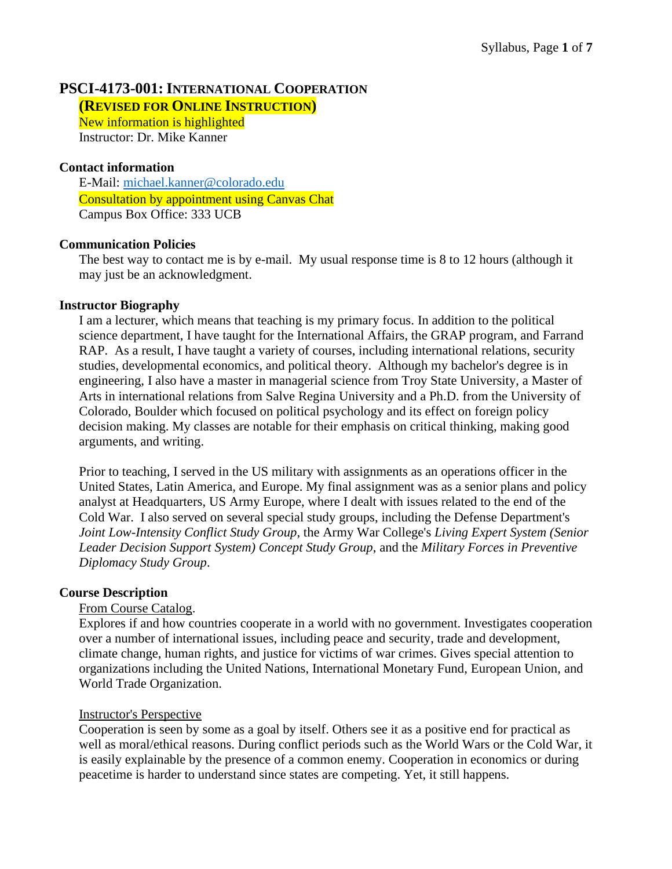# **PSCI-4173-001:INTERNATIONAL COOPERATION**

**(REVISED FOR ONLINE INSTRUCTION)**

New information is highlighted Instructor: Dr. Mike Kanner

## **Contact information**

E-Mail: [michael.kanner@colorado.edu](mailto:michael.kanner@colorado.edu) Consultation by appointment using Canvas Chat Campus Box Office: 333 UCB

## **Communication Policies**

The best way to contact me is by e-mail. My usual response time is 8 to 12 hours (although it may just be an acknowledgment.

## **Instructor Biography**

I am a lecturer, which means that teaching is my primary focus. In addition to the political science department, I have taught for the International Affairs, the GRAP program, and Farrand RAP. As a result, I have taught a variety of courses, including international relations, security studies, developmental economics, and political theory. Although my bachelor's degree is in engineering, I also have a master in managerial science from Troy State University, a Master of Arts in international relations from Salve Regina University and a Ph.D. from the University of Colorado, Boulder which focused on political psychology and its effect on foreign policy decision making. My classes are notable for their emphasis on critical thinking, making good arguments, and writing.

Prior to teaching, I served in the US military with assignments as an operations officer in the United States, Latin America, and Europe. My final assignment was as a senior plans and policy analyst at Headquarters, US Army Europe, where I dealt with issues related to the end of the Cold War. I also served on several special study groups, including the Defense Department's *Joint Low-Intensity Conflict Study Group*, the Army War College's *Living Expert System (Senior Leader Decision Support System) Concept Study Group*, and the *Military Forces in Preventive Diplomacy Study Group*.

#### **Course Description**

## From Course Catalog.

Explores if and how countries cooperate in a world with no government. Investigates cooperation over a number of international issues, including peace and security, trade and development, climate change, human rights, and justice for victims of war crimes. Gives special attention to organizations including the United Nations, International Monetary Fund, European Union, and World Trade Organization.

#### Instructor's Perspective

Cooperation is seen by some as a goal by itself. Others see it as a positive end for practical as well as moral/ethical reasons. During conflict periods such as the World Wars or the Cold War, it is easily explainable by the presence of a common enemy. Cooperation in economics or during peacetime is harder to understand since states are competing. Yet, it still happens.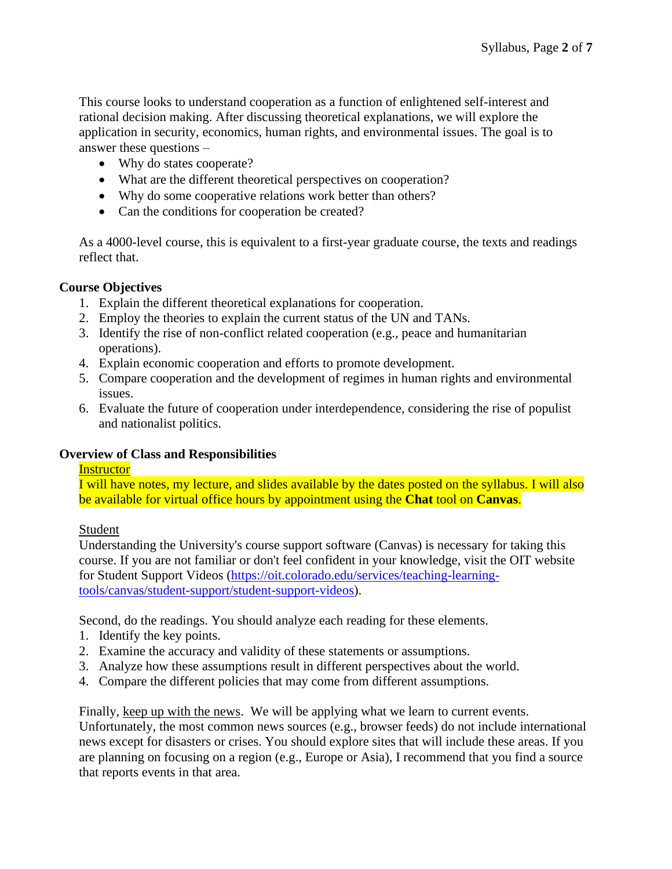This course looks to understand cooperation as a function of enlightened self-interest and rational decision making. After discussing theoretical explanations, we will explore the application in security, economics, human rights, and environmental issues. The goal is to answer these questions –

- Why do states cooperate?
- What are the different theoretical perspectives on cooperation?
- Why do some cooperative relations work better than others?
- Can the conditions for cooperation be created?

As a 4000-level course, this is equivalent to a first-year graduate course, the texts and readings reflect that.

## **Course Objectives**

- 1. Explain the different theoretical explanations for cooperation.
- 2. Employ the theories to explain the current status of the UN and TANs.
- 3. Identify the rise of non-conflict related cooperation (e.g., peace and humanitarian operations).
- 4. Explain economic cooperation and efforts to promote development.
- 5. Compare cooperation and the development of regimes in human rights and environmental issues.
- 6. Evaluate the future of cooperation under interdependence, considering the rise of populist and nationalist politics.

## **Overview of Class and Responsibilities**

## **Instructor**

I will have notes, my lecture, and slides available by the dates posted on the syllabus. I will also be available for virtual office hours by appointment using the **Chat** tool on **Canvas**.

#### Student

Understanding the University's course support software (Canvas) is necessary for taking this course. If you are not familiar or don't feel confident in your knowledge, visit the OIT website for Student Support Videos [\(https://oit.colorado.edu/services/teaching-learning](https://oit.colorado.edu/services/teaching-learning-tools/canvas/student-support/student-support-videos)[tools/canvas/student-support/student-support-videos\)](https://oit.colorado.edu/services/teaching-learning-tools/canvas/student-support/student-support-videos).

Second, do the readings. You should analyze each reading for these elements.

- 1. Identify the key points.
- 2. Examine the accuracy and validity of these statements or assumptions.
- 3. Analyze how these assumptions result in different perspectives about the world.
- 4. Compare the different policies that may come from different assumptions.

Finally, keep up with the news. We will be applying what we learn to current events.

Unfortunately, the most common news sources (e.g., browser feeds) do not include international news except for disasters or crises. You should explore sites that will include these areas. If you are planning on focusing on a region (e.g., Europe or Asia), I recommend that you find a source that reports events in that area.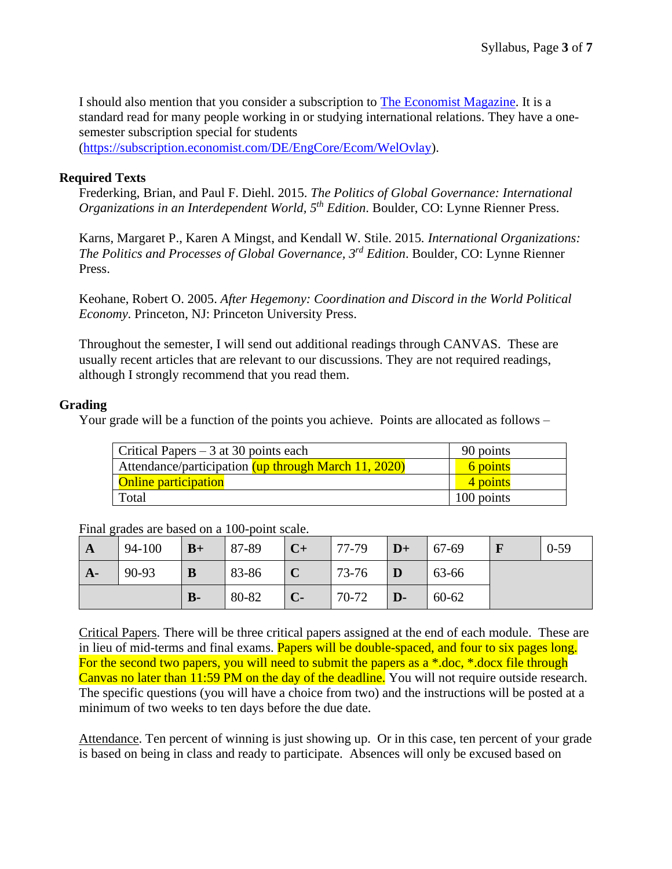I should also mention that you consider a subscription to [The Economist Magazine.](http://www.economist.com/) It is a standard read for many people working in or studying international relations. They have a onesemester subscription special for students [\(https://subscription.economist.com/DE/EngCore/Ecom/WelOvlay\)](https://subscription.economist.com/DE/EngCore/Ecom/WelOvlay).

## **Required Texts**

Frederking, Brian, and Paul F. Diehl. 2015. *The Politics of Global Governance: International Organizations in an Interdependent World, 5th Edition*. Boulder, CO: Lynne Rienner Press.

Karns, Margaret P., Karen A Mingst, and Kendall W. Stile. 2015*. International Organizations: The Politics and Processes of Global Governance, 3rd Edition*. Boulder, CO: Lynne Rienner Press.

Keohane, Robert O. 2005. *After Hegemony: Coordination and Discord in the World Political Economy*. Princeton, NJ: Princeton University Press.

Throughout the semester, I will send out additional readings through CANVAS. These are usually recent articles that are relevant to our discussions. They are not required readings, although I strongly recommend that you read them.

## **Grading**

Your grade will be a function of the points you achieve. Points are allocated as follows –

| Critical Papers $-3$ at 30 points each               | 90 points  |
|------------------------------------------------------|------------|
| Attendance/participation (up through March 11, 2020) | 6 points   |
| <b>Online participation</b>                          | 4 points   |
| Total                                                | 100 points |

| $\mathbf{A}$ | 94-100 | $B+$  | 87-89 | $C+$           | 77-79 | $D+$         | $  67-69$ | $0 - 59$ |
|--------------|--------|-------|-------|----------------|-------|--------------|-----------|----------|
| $A-$         | 90-93  | B     | 83-86 |                | 73-76 |              | 63-66     |          |
|              |        | $B -$ | 80-82 | $\overline{C}$ | 70-72 | $\mathbf{D}$ | 60-62     |          |

Final grades are based on a 100-point scale.

Critical Papers. There will be three critical papers assigned at the end of each module. These are in lieu of mid-terms and final exams. Papers will be double-spaced, and four to six pages long. For the second two papers, you will need to submit the papers as a \*.doc, \*.docx file through Canvas no later than 11:59 PM on the day of the deadline. You will not require outside research. The specific questions (you will have a choice from two) and the instructions will be posted at a minimum of two weeks to ten days before the due date.

Attendance. Ten percent of winning is just showing up. Or in this case, ten percent of your grade is based on being in class and ready to participate. Absences will only be excused based on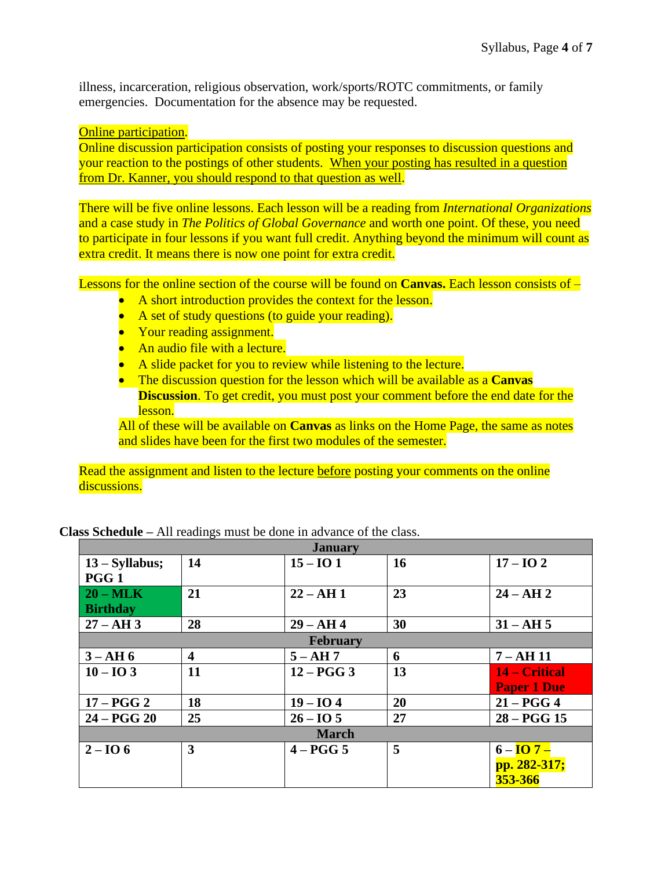illness, incarceration, religious observation, work/sports/ROTC commitments, or family emergencies. Documentation for the absence may be requested.

Online participation.

Online discussion participation consists of posting your responses to discussion questions and your reaction to the postings of other students. When your posting has resulted in a question from Dr. Kanner, you should respond to that question as well.

There will be five online lessons. Each lesson will be a reading from *International Organizations* and a case study in *The Politics of Global Governance* and worth one point. Of these, you need to participate in four lessons if you want full credit. Anything beyond the minimum will count as extra credit. It means there is now one point for extra credit.

Lessons for the online section of the course will be found on **Canvas.** Each lesson consists of –

- A short introduction provides the context for the lesson.
- A set of study questions (to guide your reading).
- Your reading assignment.
- An audio file with a lecture.
- A slide packet for you to review while listening to the lecture.
- The discussion question for the lesson which will be available as a **Canvas Discussion.** To get credit, you must post your comment before the end date for the lesson.

All of these will be available on **Canvas** as links on the Home Page, the same as notes and slides have been for the first two modules of the semester.

Read the assignment and listen to the lecture before posting your comments on the online discussions.

| <b>January</b>    |                         |              |    |                     |  |  |
|-------------------|-------------------------|--------------|----|---------------------|--|--|
| $13 - Syllabus;$  | 14                      | $15 - I$ O 1 | 16 | $17 - I + 2$        |  |  |
| PGG <sub>1</sub>  |                         |              |    |                     |  |  |
| $20 - \text{MLK}$ | 21                      | $22 - AH1$   | 23 | $24 - AH 2$         |  |  |
| <b>Birthday</b>   |                         |              |    |                     |  |  |
| $27 - AH$ 3       | 28                      | $29 - AH 4$  | 30 | $31 - AH 5$         |  |  |
| February          |                         |              |    |                     |  |  |
| $3 - AH 6$        | $\overline{\mathbf{4}}$ | $5 - AH7$    | 6  | $7 - AH$ 11         |  |  |
| $10 - IO3$        | 11                      | $12 - PGG3$  | 13 | 14 – Critical       |  |  |
|                   |                         |              |    | <b>Paper 1 Due</b>  |  |  |
| $17 - PGG2$       | 18                      | $19 - 104$   | 20 | $21 - PGG4$         |  |  |
| $24 - PGG20$      | 25                      | $26 - 105$   | 27 | $28 - PGG$ 15       |  |  |
| <b>March</b>      |                         |              |    |                     |  |  |
| $2 - I$ O 6       | 3                       | $4 - PGG5$   | 5  | $6-\overline{IO 7}$ |  |  |
|                   |                         |              |    | pp. 282-317;        |  |  |
|                   |                         |              |    | 353-366             |  |  |

**Class Schedule –** All readings must be done in advance of the class.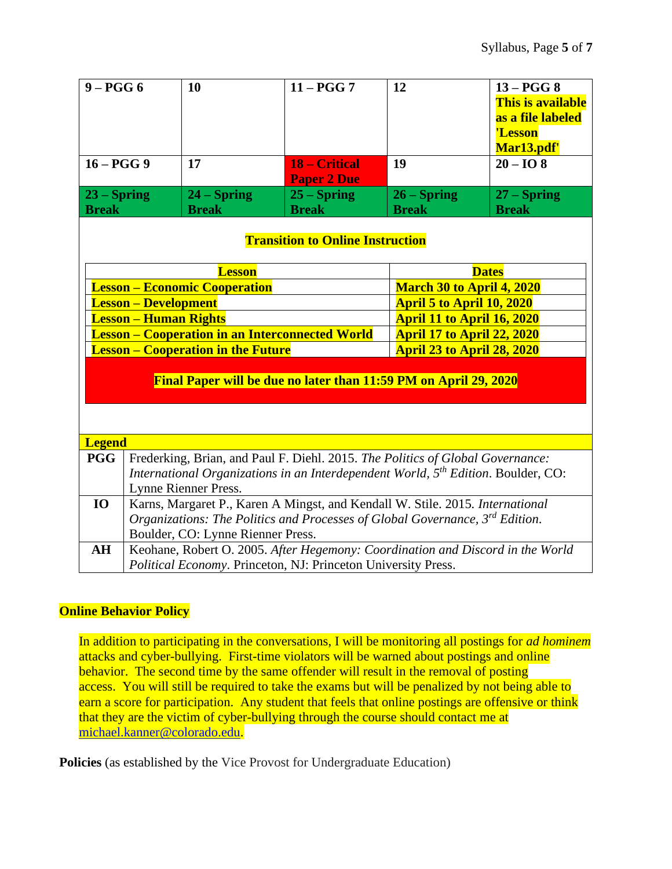| $9 - PGG6$                                                       |                                                                                               | 10            | $11 - PGG$ 7                                                                  | 12                                | $13 - PGG8$           |  |  |
|------------------------------------------------------------------|-----------------------------------------------------------------------------------------------|---------------|-------------------------------------------------------------------------------|-----------------------------------|-----------------------|--|--|
|                                                                  |                                                                                               |               |                                                                               |                                   | This is available     |  |  |
|                                                                  |                                                                                               |               |                                                                               |                                   | as a file labeled     |  |  |
|                                                                  |                                                                                               |               |                                                                               |                                   | 'Lesson               |  |  |
|                                                                  |                                                                                               |               |                                                                               |                                   | Mar <sub>13.pdf</sub> |  |  |
| $16 - PGG9$                                                      |                                                                                               | 17            | 18 – Critical                                                                 | 19                                | $20 - IO8$            |  |  |
|                                                                  |                                                                                               |               | <b>Paper 2 Due</b>                                                            |                                   |                       |  |  |
| $23 -$ Spring                                                    |                                                                                               | $24 -$ Spring | $25 -$ Spring                                                                 | $26 -$ Spring                     | $27 -$ Spring         |  |  |
| <b>Break</b>                                                     |                                                                                               | <b>Break</b>  | <b>Break</b>                                                                  | <b>Break</b>                      | <b>Break</b>          |  |  |
| <b>Transition to Online Instruction</b>                          |                                                                                               |               |                                                                               |                                   |                       |  |  |
|                                                                  |                                                                                               | <b>Lesson</b> |                                                                               |                                   | <b>Dates</b>          |  |  |
| <b>Lesson – Economic Cooperation</b>                             |                                                                                               |               | <b>March 30 to April 4, 2020</b>                                              |                                   |                       |  |  |
| <b>Lesson - Development</b>                                      |                                                                                               |               | <b>April 5 to April 10, 2020</b>                                              |                                   |                       |  |  |
| <b>Lesson – Human Rights</b>                                     |                                                                                               |               |                                                                               | <b>April 11 to April 16, 2020</b> |                       |  |  |
| <b>Lesson - Cooperation in an Interconnected World</b>           |                                                                                               |               |                                                                               | <b>April 17 to April 22, 2020</b> |                       |  |  |
| <b>Lesson – Cooperation in the Future</b>                        |                                                                                               |               |                                                                               | <b>April 23 to April 28, 2020</b> |                       |  |  |
| Final Paper will be due no later than 11:59 PM on April 29, 2020 |                                                                                               |               |                                                                               |                                   |                       |  |  |
| <b>Legend</b>                                                    |                                                                                               |               |                                                                               |                                   |                       |  |  |
| <b>PGG</b>                                                       | Frederking, Brian, and Paul F. Diehl. 2015. The Politics of Global Governance:                |               |                                                                               |                                   |                       |  |  |
|                                                                  | International Organizations in an Interdependent World, 5 <sup>th</sup> Edition. Boulder, CO: |               |                                                                               |                                   |                       |  |  |
|                                                                  | Lynne Rienner Press.                                                                          |               |                                                                               |                                   |                       |  |  |
| <b>IO</b>                                                        |                                                                                               |               | Karns, Margaret P., Karen A Mingst, and Kendall W. Stile. 2015. International |                                   |                       |  |  |
|                                                                  | Organizations: The Politics and Processes of Global Governance, 3rd Edition.                  |               |                                                                               |                                   |                       |  |  |
|                                                                  | Boulder, CO: Lynne Rienner Press.                                                             |               |                                                                               |                                   |                       |  |  |
| AH                                                               | Keohane, Robert O. 2005. After Hegemony: Coordination and Discord in the World                |               |                                                                               |                                   |                       |  |  |
|                                                                  | Political Economy. Princeton, NJ: Princeton University Press.                                 |               |                                                                               |                                   |                       |  |  |
|                                                                  |                                                                                               |               |                                                                               |                                   |                       |  |  |

## **Online Behavior Policy**

In addition to participating in the conversations, I will be monitoring all postings for *ad hominem* attacks and cyber-bullying. First-time violators will be warned about postings and online behavior. The second time by the same offender will result in the removal of posting access. You will still be required to take the exams but will be penalized by not being able to earn a score for participation. Any student that feels that online postings are offensive or think that they are the victim of cyber-bullying through the course should contact me at [michael.kanner@colorado.edu.](mailto:michael.kanner@colorado.edu)

**Policies** (as established by the Vice Provost for Undergraduate Education)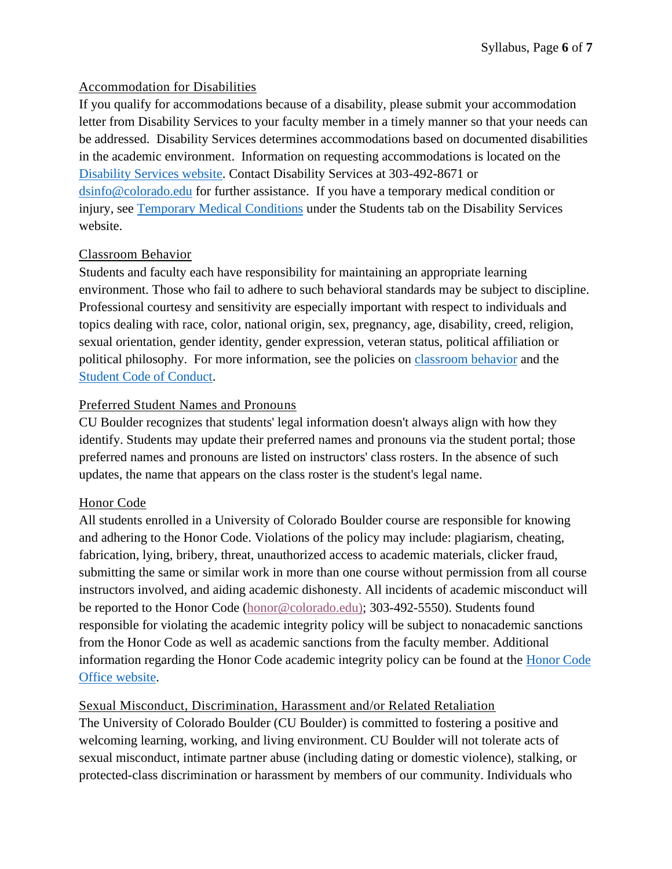## Accommodation for Disabilities

If you qualify for accommodations because of a disability, please submit your accommodation letter from Disability Services to your faculty member in a timely manner so that your needs can be addressed. Disability Services determines accommodations based on documented disabilities in the academic environment. Information on requesting accommodations is located on the [Disability Services website.](http://www.colorado.edu/disabilityservices/students) Contact Disability Services at 303-492-8671 or [dsinfo@colorado.edu](mailto:dsinfo@colorado.edu) for further assistance. If you have a temporary medical condition or injury, see [Temporary Medical Conditions](http://www.colorado.edu/disabilityservices/students/temporary-medical-conditions) under the Students tab on the Disability Services website.

## Classroom Behavior

Students and faculty each have responsibility for maintaining an appropriate learning environment. Those who fail to adhere to such behavioral standards may be subject to discipline. Professional courtesy and sensitivity are especially important with respect to individuals and topics dealing with race, color, national origin, sex, pregnancy, age, disability, creed, religion, sexual orientation, gender identity, gender expression, veteran status, political affiliation or political philosophy. For more information, see the policies on [classroom behavior](http://www.colorado.edu/policies/student-classroom-and-course-related-behavior) and the [Student Code of Conduct.](http://www.colorado.edu/osccr/)

## Preferred Student Names and Pronouns

CU Boulder recognizes that students' legal information doesn't always align with how they identify. Students may update their preferred names and pronouns via the student portal; those preferred names and pronouns are listed on instructors' class rosters. In the absence of such updates, the name that appears on the class roster is the student's legal name.

# Honor Code

All students enrolled in a University of Colorado Boulder course are responsible for knowing and adhering to the Honor Code. Violations of the policy may include: plagiarism, cheating, fabrication, lying, bribery, threat, unauthorized access to academic materials, clicker fraud, submitting the same or similar work in more than one course without permission from all course instructors involved, and aiding academic dishonesty. All incidents of academic misconduct will be reported to the Honor Code [\(honor@colorado.edu\)](mailto:honor@colorado.edu); 303-492-5550). Students found responsible for violating the academic integrity policy will be subject to nonacademic sanctions from the Honor Code as well as academic sanctions from the faculty member. Additional information regarding the Honor Code academic integrity policy can be found at the [Honor Code](https://www.colorado.edu/osccr/honor-code)  [Office website.](https://www.colorado.edu/osccr/honor-code)

# Sexual Misconduct, Discrimination, Harassment and/or Related Retaliation

The University of Colorado Boulder (CU Boulder) is committed to fostering a positive and welcoming learning, working, and living environment. CU Boulder will not tolerate acts of sexual misconduct, intimate partner abuse (including dating or domestic violence), stalking, or protected-class discrimination or harassment by members of our community. Individuals who